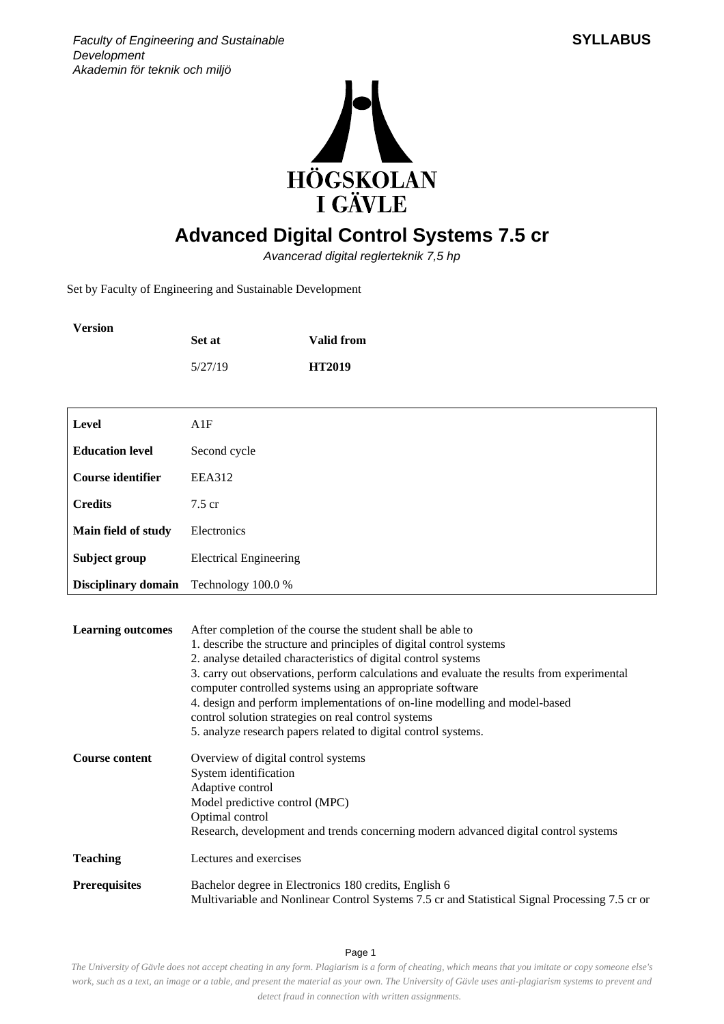

## **Advanced Digital Control Systems 7.5 cr**

Avancerad digital reglerteknik 7,5 hp

Set by Faculty of Engineering and Sustainable Development

| <b>Version</b> | <b>Set at</b> | <b>Valid from</b> |
|----------------|---------------|-------------------|
|                | 5/27/19       | <b>HT2019</b>     |

| Level                      | A1F                                                                                                                                                                                                                                                                                                                                                                                                                                                                                                                                                                    |
|----------------------------|------------------------------------------------------------------------------------------------------------------------------------------------------------------------------------------------------------------------------------------------------------------------------------------------------------------------------------------------------------------------------------------------------------------------------------------------------------------------------------------------------------------------------------------------------------------------|
| <b>Education level</b>     | Second cycle                                                                                                                                                                                                                                                                                                                                                                                                                                                                                                                                                           |
| <b>Course identifier</b>   | <b>EEA312</b>                                                                                                                                                                                                                                                                                                                                                                                                                                                                                                                                                          |
| <b>Credits</b>             | $7.5 \text{ cr}$                                                                                                                                                                                                                                                                                                                                                                                                                                                                                                                                                       |
| Main field of study        | Electronics                                                                                                                                                                                                                                                                                                                                                                                                                                                                                                                                                            |
| Subject group              | <b>Electrical Engineering</b>                                                                                                                                                                                                                                                                                                                                                                                                                                                                                                                                          |
| <b>Disciplinary domain</b> | Technology 100.0 %                                                                                                                                                                                                                                                                                                                                                                                                                                                                                                                                                     |
| <b>Learning outcomes</b>   | After completion of the course the student shall be able to<br>1. describe the structure and principles of digital control systems<br>2. analyse detailed characteristics of digital control systems<br>3. carry out observations, perform calculations and evaluate the results from experimental<br>computer controlled systems using an appropriate software<br>4. design and perform implementations of on-line modelling and model-based<br>control solution strategies on real control systems<br>5. analyze research papers related to digital control systems. |
| <b>Course content</b>      | Overview of digital control systems<br>System identification<br>Adaptive control<br>Model predictive control (MPC)<br>Optimal control<br>Research, development and trends concerning modern advanced digital control systems                                                                                                                                                                                                                                                                                                                                           |
| <b>Teaching</b>            | Lectures and exercises                                                                                                                                                                                                                                                                                                                                                                                                                                                                                                                                                 |
| <b>Prerequisites</b>       | Bachelor degree in Electronics 180 credits, English 6<br>Multivariable and Nonlinear Control Systems 7.5 cr and Statistical Signal Processing 7.5 cr or                                                                                                                                                                                                                                                                                                                                                                                                                |

Page 1

*The University of Gävle does not accept cheating in any form. Plagiarism is a form of cheating, which means that you imitate or copy someone else's work, such as a text, an image or a table, and present the material as your own. The University of Gävle uses anti-plagiarism systems to prevent and detect fraud in connection with written assignments.*